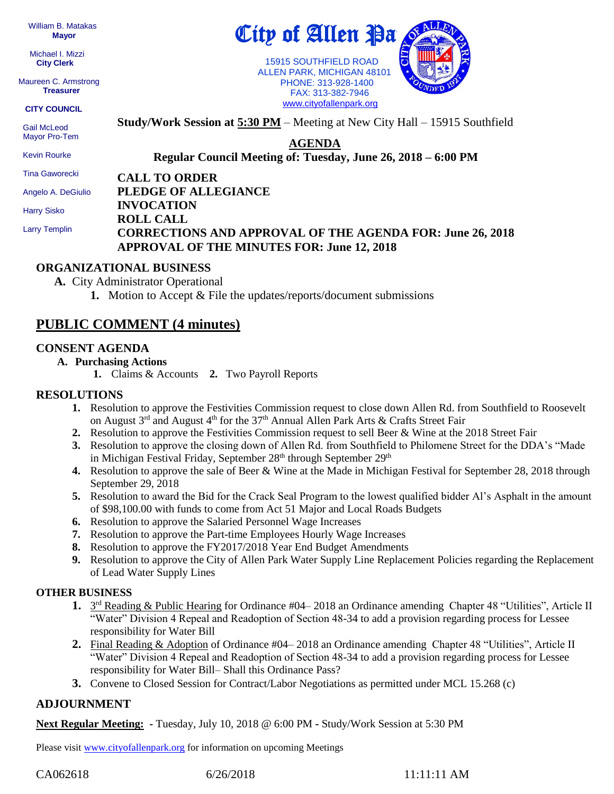William B. Matakas  **Mayor**

 Michael I. Mizzi **City Clerk**

Maureen C. Armstrong **Treasurer**

#### **CITY COUNCIL**

 Gail McLeod Mayor Pro-Tem

Kevin Rourke

Tina Gaworecki

Angelo A. DeGiulio

Harry Sisko

Larry Templin

# City of Allen <u>Pa</u>

 15915 SOUTHFIELD ROAD ALLEN PARK, MICHIGAN 48101 PHONE: 313-928-1400 FAX: 313-382-7946 [www.cityofallenpark.org](http://www.cityofallenpark.org/)



**Study/Work Session at 5:30 PM** – Meeting at New City Hall – 15915 Southfield

**AGENDA**

**Regular Council Meeting of: Tuesday, June 26, 2018 – 6:00 PM** 

**CALL TO ORDER**

**PLEDGE OF ALLEGIANCE**

#### **INVOCATION ROLL CALL CORRECTIONS AND APPROVAL OF THE AGENDA FOR: June 26, 2018 APPROVAL OF THE MINUTES FOR: June 12, 2018**

#### **ORGANIZATIONAL BUSINESS**

**A.** City Administrator Operational

**1.** Motion to Accept & File the updates/reports/document submissions

## **PUBLIC COMMENT (4 minutes)**

#### **CONSENT AGENDA**

- **A. Purchasing Actions**
	- **1.** Claims & Accounts **2.** Two Payroll Reports

#### **RESOLUTIONS**

- **1.** Resolution to approve the Festivities Commission request to close down Allen Rd. from Southfield to Roosevelt on August 3<sup>rd</sup> and August 4<sup>th</sup> for the 37<sup>th</sup> Annual Allen Park Arts & Crafts Street Fair
- **2.** Resolution to approve the Festivities Commission request to sell Beer & Wine at the 2018 Street Fair
- **3.** Resolution to approve the closing down of Allen Rd. from Southfield to Philomene Street for the DDA's "Made in Michigan Festival Friday, September 28<sup>th</sup> through September 29<sup>th</sup>
- **4.** Resolution to approve the sale of Beer & Wine at the Made in Michigan Festival for September 28, 2018 through September 29, 2018
- **5.** Resolution to award the Bid for the Crack Seal Program to the lowest qualified bidder Al's Asphalt in the amount of \$98,100.00 with funds to come from Act 51 Major and Local Roads Budgets
- **6.** Resolution to approve the Salaried Personnel Wage Increases
- **7.** Resolution to approve the Part-time Employees Hourly Wage Increases
- **8.** Resolution to approve the FY2017/2018 Year End Budget Amendments
- **9.** Resolution to approve the City of Allen Park Water Supply Line Replacement Policies regarding the Replacement of Lead Water Supply Lines

#### **OTHER BUSINESS**

- 1. 3<sup>rd</sup> Reading & Public Hearing for Ordinance #04–2018 an Ordinance amending Chapter 48 "Utilities", Article II "Water" Division 4 Repeal and Readoption of Section 48-34 to add a provision regarding process for Lessee responsibility for Water Bill
- **2.** Final Reading & Adoption of Ordinance #04– 2018 an Ordinance amending Chapter 48 "Utilities", Article II "Water" Division 4 Repeal and Readoption of Section 48-34 to add a provision regarding process for Lessee responsibility for Water Bill– Shall this Ordinance Pass?
- **3.** Convene to Closed Session for Contract/Labor Negotiations as permitted under MCL 15.268 (c)

### **ADJOURNMENT**

**Next Regular Meeting: -** Tuesday, July 10, 2018 @ 6:00 PM **-** Study/Work Session at 5:30 PM

Please visit [www.cityofallenpark.org](http://www.cityofallenpark.org/) for information on upcoming Meetings

CA062618 6/26/2018 11:11:11 AM